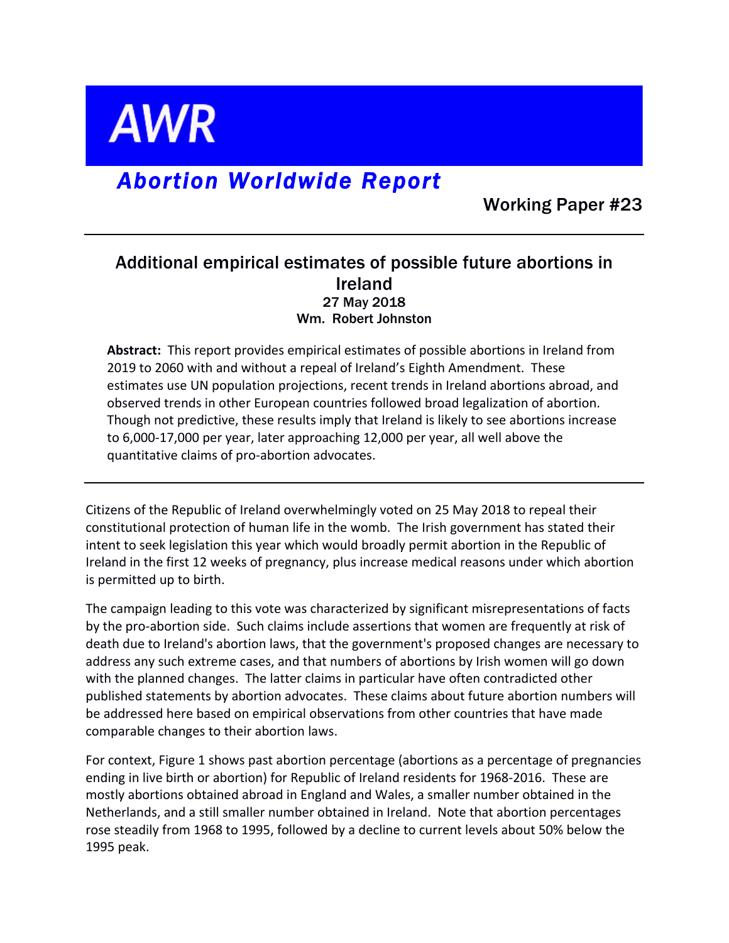

# *Abortion Worldwide Report*

Working Paper #23

## Additional empirical estimates of possible future abortions in Ireland 27 May 2018 Wm. Robert Johnston

**Abstract:** This report provides empirical estimates of possible abortions in Ireland from 2019 to 2060 with and without a repeal of Ireland's Eighth Amendment. These estimates use UN population projections, recent trends in Ireland abortions abroad, and observed trends in other European countries followed broad legalization of abortion. Though not predictive, these results imply that Ireland is likely to see abortions increase to 6,000-17,000 per year, later approaching 12,000 per year, all well above the quantitative claims of pro-abortion advocates.

Citizens of the Republic of Ireland overwhelmingly voted on 25 May 2018 to repeal their constitutional protection of human life in the womb. The Irish government has stated their intent to seek legislation this year which would broadly permit abortion in the Republic of Ireland in the first 12 weeks of pregnancy, plus increase medical reasons under which abortion is permitted up to birth.

The campaign leading to this vote was characterized by significant misrepresentations of facts by the pro-abortion side. Such claims include assertions that women are frequently at risk of death due to Ireland's abortion laws, that the government's proposed changes are necessary to address any such extreme cases, and that numbers of abortions by Irish women will go down with the planned changes. The latter claims in particular have often contradicted other published statements by abortion advocates. These claims about future abortion numbers will be addressed here based on empirical observations from other countries that have made comparable changes to their abortion laws.

For context, Figure 1 shows past abortion percentage (abortions as a percentage of pregnancies ending in live birth or abortion) for Republic of Ireland residents for 1968-2016. These are mostly abortions obtained abroad in England and Wales, a smaller number obtained in the Netherlands, and a still smaller number obtained in Ireland. Note that abortion percentages rose steadily from 1968 to 1995, followed by a decline to current levels about 50% below the 1995 peak.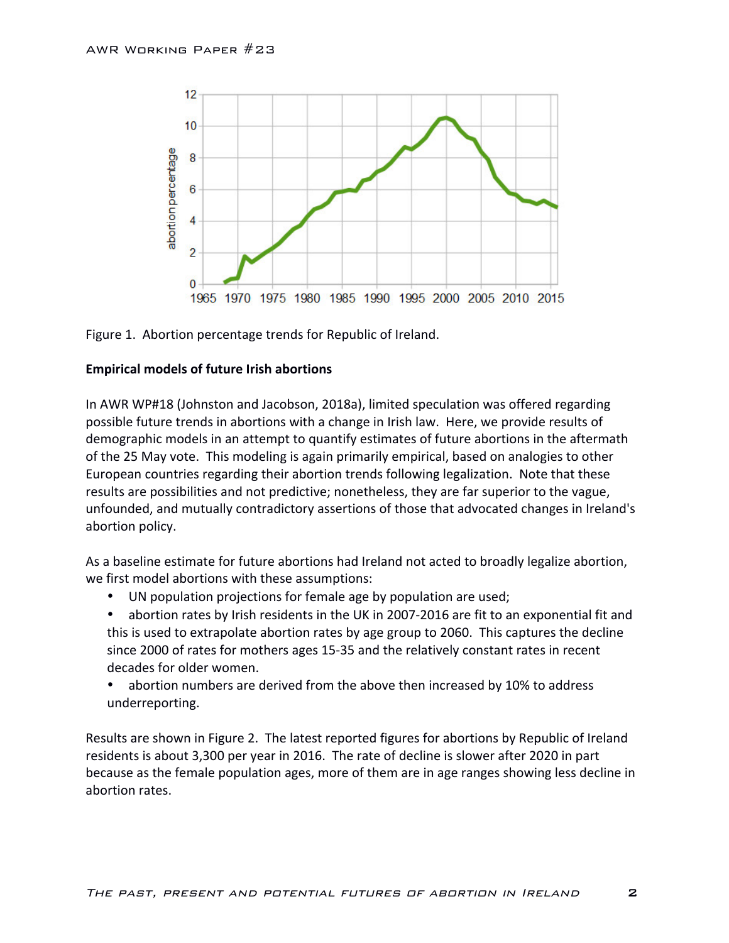



### **Empirical models of future Irish abortions**

In AWR WP#18 (Johnston and Jacobson, 2018a), limited speculation was offered regarding possible future trends in abortions with a change in Irish law. Here, we provide results of demographic models in an attempt to quantify estimates of future abortions in the aftermath of the 25 May vote. This modeling is again primarily empirical, based on analogies to other European countries regarding their abortion trends following legalization. Note that these results are possibilities and not predictive; nonetheless, they are far superior to the vague, unfounded, and mutually contradictory assertions of those that advocated changes in Ireland's abortion policy.

As a baseline estimate for future abortions had Ireland not acted to broadly legalize abortion, we first model abortions with these assumptions:

UN population projections for female age by population are used;

abortion rates by Irish residents in the UK in 2007-2016 are fit to an exponential fit and this is used to extrapolate abortion rates by age group to 2060. This captures the decline since 2000 of rates for mothers ages 15-35 and the relatively constant rates in recent decades for older women.

abortion numbers are derived from the above then increased by 10% to address underreporting.

Results are shown in Figure 2. The latest reported figures for abortions by Republic of Ireland residents is about 3,300 per year in 2016. The rate of decline is slower after 2020 in part because as the female population ages, more of them are in age ranges showing less decline in abortion rates.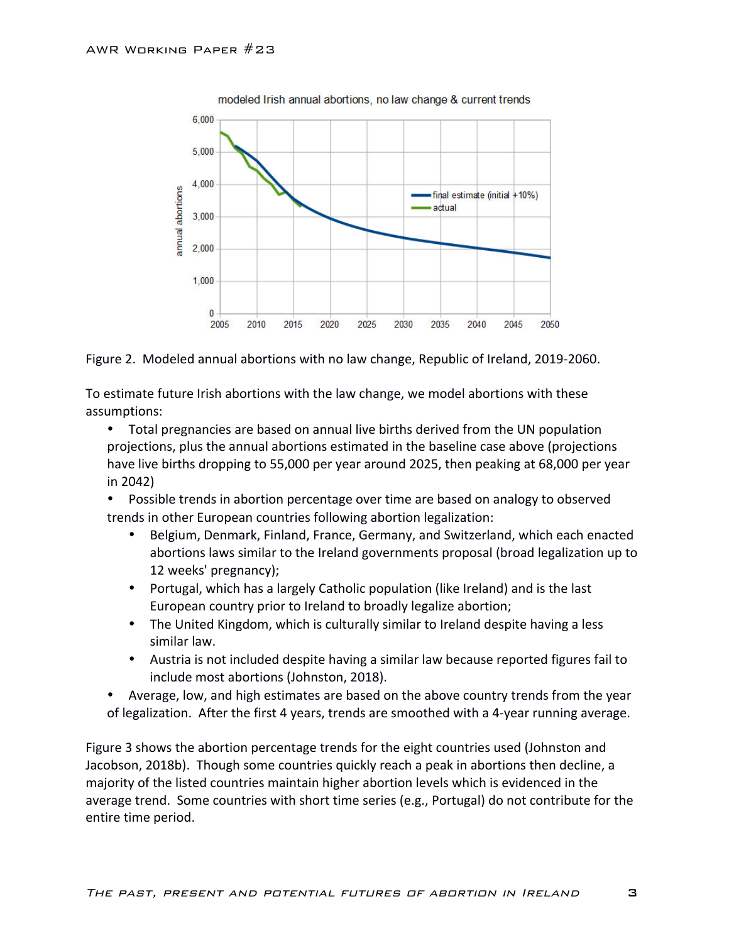

Figure 2. Modeled annual abortions with no law change, Republic of Ireland, 2019-2060.

To estimate future Irish abortions with the law change, we model abortions with these assumptions:

• Total pregnancies are based on annual live births derived from the UN population projections, plus the annual abortions estimated in the baseline case above (projections have live births dropping to 55,000 per year around 2025, then peaking at 68,000 per year in 2042)

• Possible trends in abortion percentage over time are based on analogy to observed trends in other European countries following abortion legalization:

- Belgium, Denmark, Finland, France, Germany, and Switzerland, which each enacted abortions laws similar to the Ireland governments proposal (broad legalization up to 12 weeks' pregnancy);
- Portugal, which has a largely Catholic population (like Ireland) and is the last European country prior to Ireland to broadly legalize abortion;
- The United Kingdom, which is culturally similar to Ireland despite having a less similar law.
- Austria is not included despite having a similar law because reported figures fail to include most abortions (Johnston, 2018).
- Average, low, and high estimates are based on the above country trends from the year of legalization. After the first 4 years, trends are smoothed with a 4-year running average.

Figure 3 shows the abortion percentage trends for the eight countries used (Johnston and Jacobson, 2018b). Though some countries quickly reach a peak in abortions then decline, a majority of the listed countries maintain higher abortion levels which is evidenced in the average trend. Some countries with short time series (e.g., Portugal) do not contribute for the entire time period.

3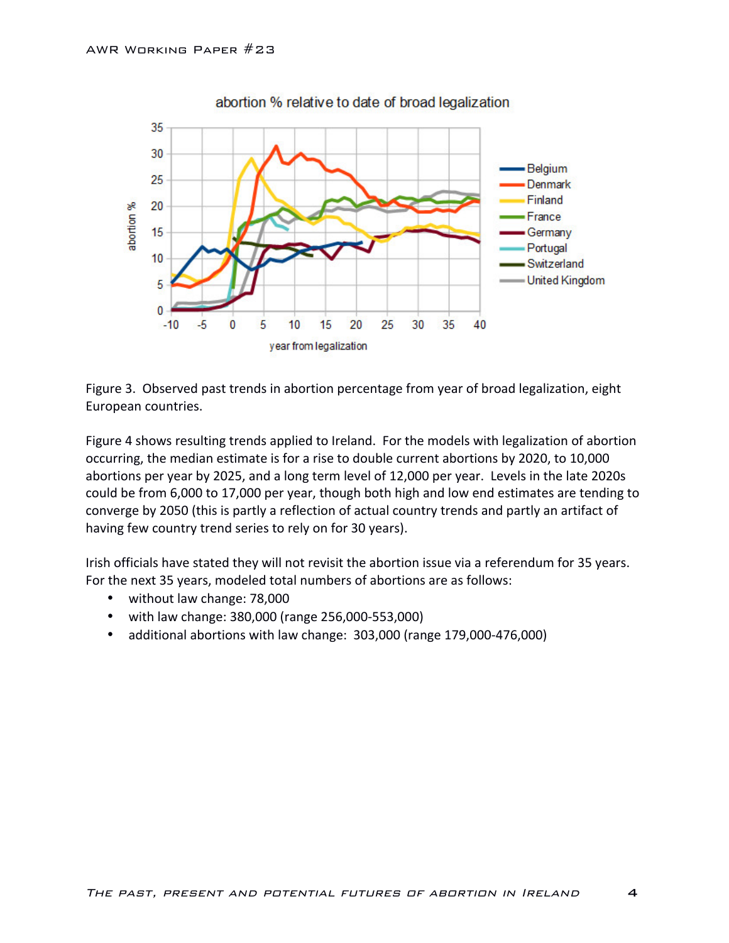

abortion % relative to date of broad legalization

Figure 3. Observed past trends in abortion percentage from year of broad legalization, eight European countries.

Figure 4 shows resulting trends applied to Ireland. For the models with legalization of abortion occurring, the median estimate is for a rise to double current abortions by 2020, to 10,000 abortions per year by 2025, and a long term level of 12,000 per year. Levels in the late 2020s could be from 6,000 to 17,000 per year, though both high and low end estimates are tending to converge by 2050 (this is partly a reflection of actual country trends and partly an artifact of having few country trend series to rely on for 30 years).

Irish officials have stated they will not revisit the abortion issue via a referendum for 35 years. For the next 35 years, modeled total numbers of abortions are as follows:

- without law change: 78,000
- with law change: 380,000 (range 256,000-553,000)
- additional abortions with law change: 303,000 (range 179,000-476,000)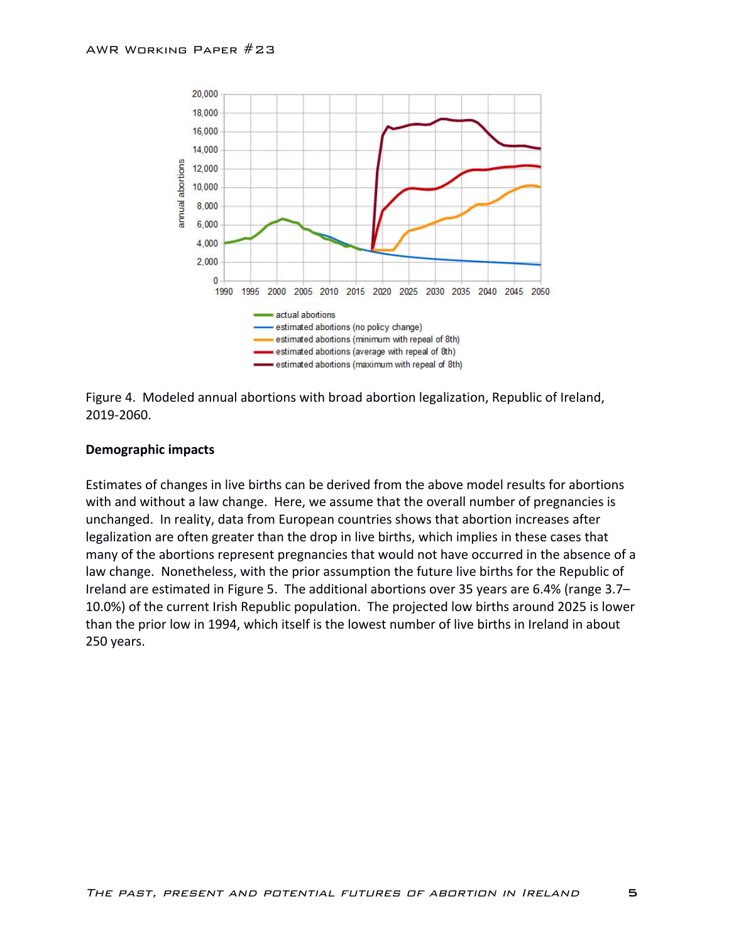



#### **Demographic impacts**

Estimates of changes in live births can be derived from the above model results for abortions with and without a law change. Here, we assume that the overall number of pregnancies is unchanged. In reality, data from European countries shows that abortion increases after legalization are often greater than the drop in live births, which implies in these cases that many of the abortions represent pregnancies that would not have occurred in the absence of a law change. Nonetheless, with the prior assumption the future live births for the Republic of Ireland are estimated in Figure 5. The additional abortions over 35 years are 6.4% (range 3.7– 10.0%) of the current Irish Republic population. The projected low births around 2025 is lower than the prior low in 1994, which itself is the lowest number of live births in Ireland in about 250 years. 

5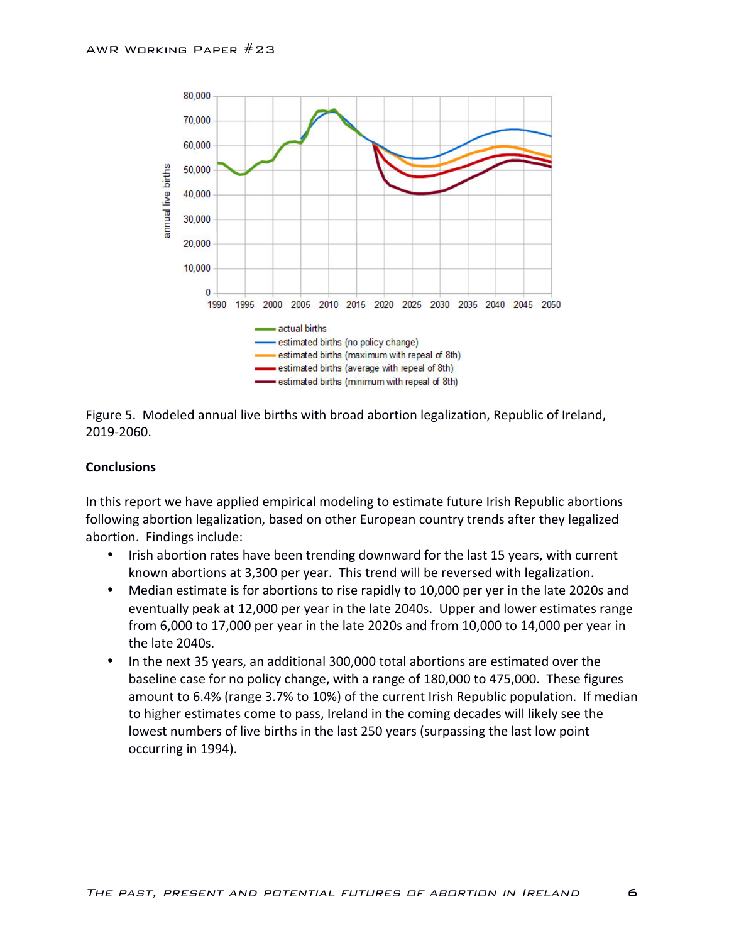



### **Conclusions**

In this report we have applied empirical modeling to estimate future Irish Republic abortions following abortion legalization, based on other European country trends after they legalized abortion. Findings include:

- Irish abortion rates have been trending downward for the last 15 years, with current known abortions at 3,300 per year. This trend will be reversed with legalization.
- Median estimate is for abortions to rise rapidly to 10,000 per yer in the late 2020s and eventually peak at 12,000 per year in the late 2040s. Upper and lower estimates range from  $6,000$  to 17,000 per year in the late 2020s and from 10,000 to 14,000 per year in the late 2040s.
- In the next 35 years, an additional 300,000 total abortions are estimated over the baseline case for no policy change, with a range of 180,000 to 475,000. These figures amount to 6.4% (range 3.7% to 10%) of the current Irish Republic population. If median to higher estimates come to pass, Ireland in the coming decades will likely see the lowest numbers of live births in the last 250 years (surpassing the last low point occurring in 1994).